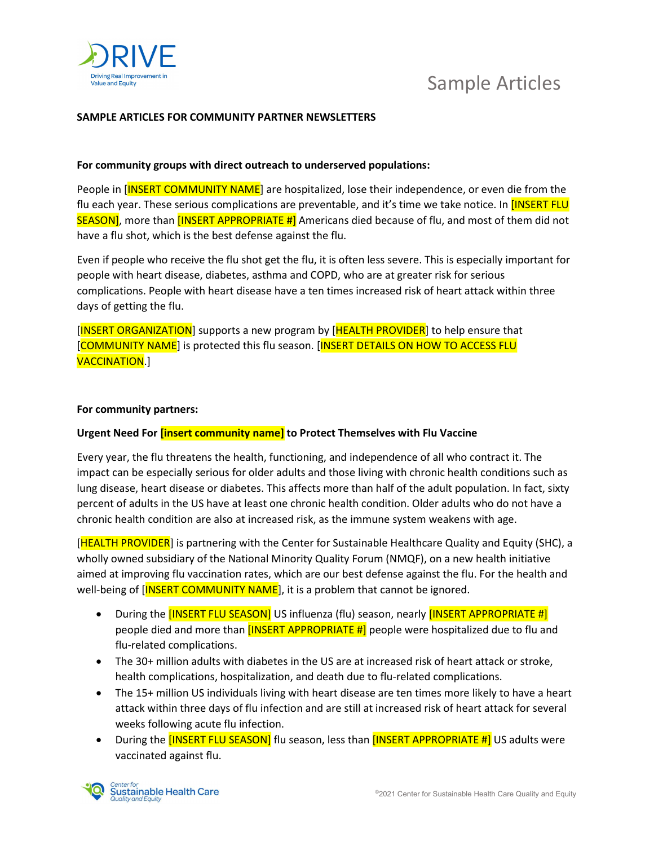

# Sample Articles

## SAMPLE ARTICLES FOR COMMUNITY PARTNER NEWSLETTERS

### For community groups with direct outreach to underserved populations:

People in [INSERT COMMUNITY NAME] are hospitalized, lose their independence, or even die from the flu each year. These serious complications are preventable, and it's time we take notice. In [INSERT FLU SEASON], more than [INSERT APPROPRIATE #] Americans died because of flu, and most of them did not have a flu shot, which is the best defense against the flu.

Even if people who receive the flu shot get the flu, it is often less severe. This is especially important for people with heart disease, diabetes, asthma and COPD, who are at greater risk for serious complications. People with heart disease have a ten times increased risk of heart attack within three days of getting the flu.

[INSERT ORGANIZATION] supports a new program by [HEALTH PROVIDER] to help ensure that [COMMUNITY NAME] is protected this flu season. [INSERT DETAILS ON HOW TO ACCESS FLU VACCINATION.]

#### For community partners:

#### Urgent Need For [insert community name] to Protect Themselves with Flu Vaccine

Every year, the flu threatens the health, functioning, and independence of all who contract it. The impact can be especially serious for older adults and those living with chronic health conditions such as lung disease, heart disease or diabetes. This affects more than half of the adult population. In fact, sixty percent of adults in the US have at least one chronic health condition. Older adults who do not have a chronic health condition are also at increased risk, as the immune system weakens with age.

[HEALTH PROVIDER] is partnering with the Center for Sustainable Healthcare Quality and Equity (SHC), a wholly owned subsidiary of the National Minority Quality Forum (NMQF), on a new health initiative aimed at improving flu vaccination rates, which are our best defense against the flu. For the health and well-being of [INSERT COMMUNITY NAME], it is a problem that cannot be ignored.

- During the [INSERT FLU SEASON] US influenza (flu) season, nearly [INSERT APPROPRIATE #] people died and more than  $[INSERT APPROPRIATE #]$  people were hospitalized due to flu and flu-related complications.
- The 30+ million adults with diabetes in the US are at increased risk of heart attack or stroke, health complications, hospitalization, and death due to flu-related complications.
- The 15+ million US individuals living with heart disease are ten times more likely to have a heart attack within three days of flu infection and are still at increased risk of heart attack for several weeks following acute flu infection.
- During the **[INSERT FLU SEASON]** flu season, less than **[INSERT APPROPRIATE #]** US adults were vaccinated against flu.